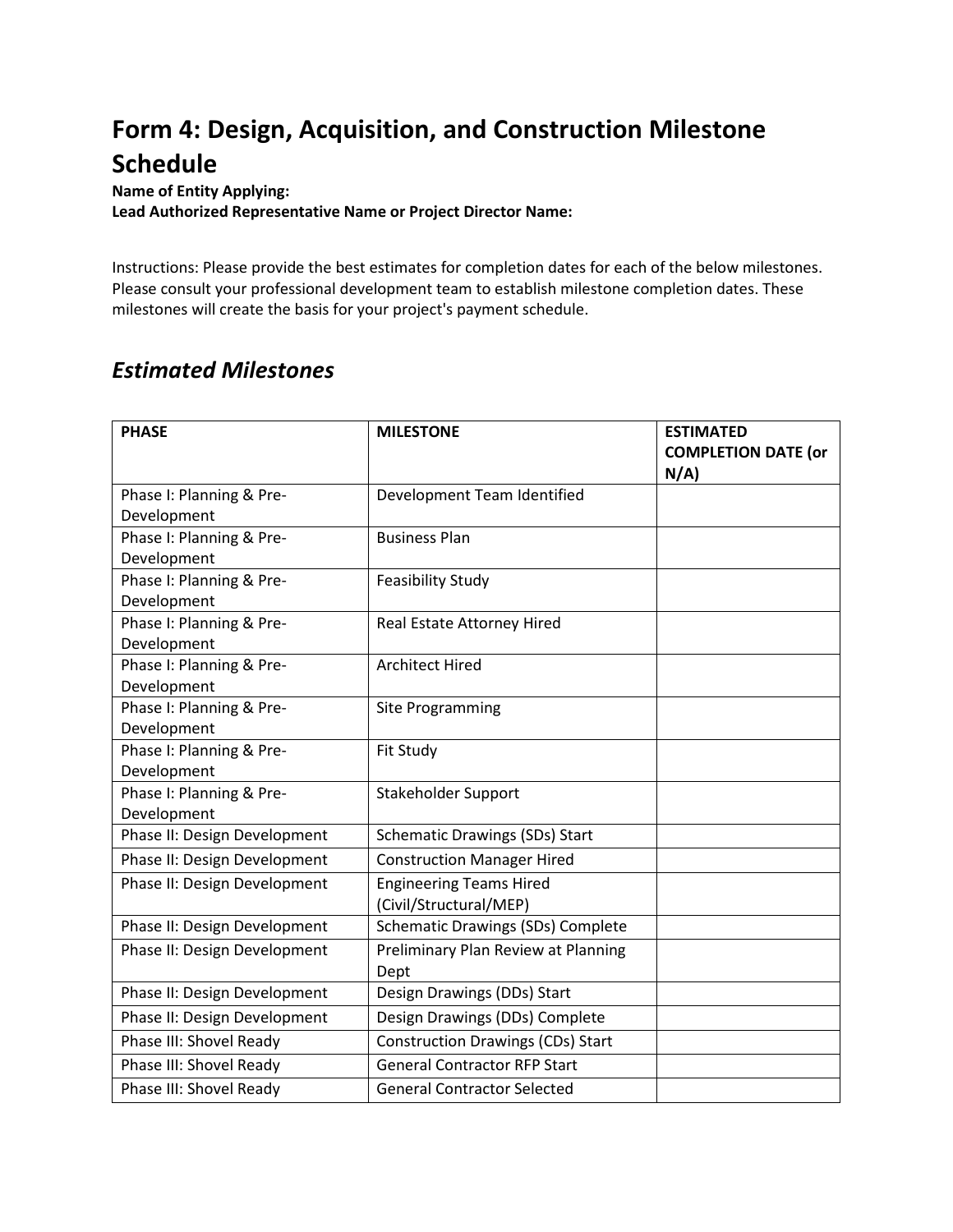## **Form 4: Design, Acquisition, and Construction Milestone Schedule**

**Name of Entity Applying:** 

**Lead Authorized Representative Name or Project Director Name:**

Instructions: Please provide the best estimates for completion dates for each of the below milestones. Please consult your professional development team to establish milestone completion dates. These milestones will create the basis for your project's payment schedule.

## *Estimated Milestones*

| <b>PHASE</b>                 | <b>MILESTONE</b>                         | <b>ESTIMATED</b><br><b>COMPLETION DATE (or</b><br>N/A |
|------------------------------|------------------------------------------|-------------------------------------------------------|
| Phase I: Planning & Pre-     | Development Team Identified              |                                                       |
| Development                  |                                          |                                                       |
| Phase I: Planning & Pre-     | <b>Business Plan</b>                     |                                                       |
| Development                  |                                          |                                                       |
| Phase I: Planning & Pre-     | <b>Feasibility Study</b>                 |                                                       |
| Development                  |                                          |                                                       |
| Phase I: Planning & Pre-     | Real Estate Attorney Hired               |                                                       |
| Development                  |                                          |                                                       |
| Phase I: Planning & Pre-     | <b>Architect Hired</b>                   |                                                       |
| Development                  |                                          |                                                       |
| Phase I: Planning & Pre-     | Site Programming                         |                                                       |
| Development                  |                                          |                                                       |
| Phase I: Planning & Pre-     | Fit Study                                |                                                       |
| Development                  |                                          |                                                       |
| Phase I: Planning & Pre-     | Stakeholder Support                      |                                                       |
| Development                  |                                          |                                                       |
| Phase II: Design Development | <b>Schematic Drawings (SDs) Start</b>    |                                                       |
| Phase II: Design Development | <b>Construction Manager Hired</b>        |                                                       |
| Phase II: Design Development | <b>Engineering Teams Hired</b>           |                                                       |
|                              | (Civil/Structural/MEP)                   |                                                       |
| Phase II: Design Development | Schematic Drawings (SDs) Complete        |                                                       |
| Phase II: Design Development | Preliminary Plan Review at Planning      |                                                       |
|                              | Dept                                     |                                                       |
| Phase II: Design Development | Design Drawings (DDs) Start              |                                                       |
| Phase II: Design Development | Design Drawings (DDs) Complete           |                                                       |
| Phase III: Shovel Ready      | <b>Construction Drawings (CDs) Start</b> |                                                       |
| Phase III: Shovel Ready      | <b>General Contractor RFP Start</b>      |                                                       |
| Phase III: Shovel Ready      | <b>General Contractor Selected</b>       |                                                       |